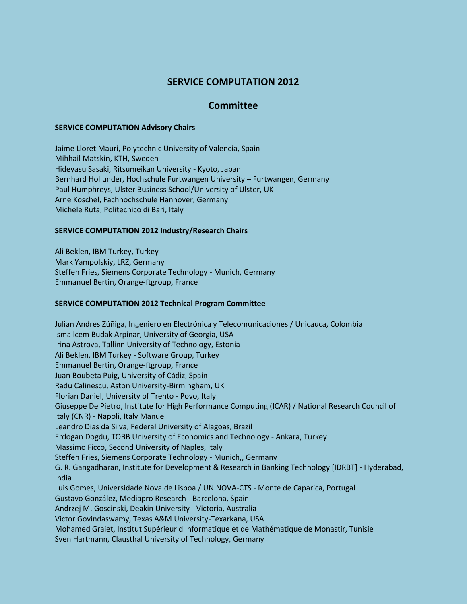# **SERVICE COMPUTATION 2012**

## **Committee**

#### **SERVICE COMPUTATION Advisory Chairs**

Jaime Lloret Mauri, Polytechnic University of Valencia, Spain Mihhail Matskin, KTH, Sweden Hideyasu Sasaki, Ritsumeikan University - Kyoto, Japan Bernhard Hollunder, Hochschule Furtwangen University – Furtwangen, Germany Paul Humphreys, Ulster Business School/University of Ulster, UK Arne Koschel, Fachhochschule Hannover, Germany Michele Ruta, Politecnico di Bari, Italy

### **SERVICE COMPUTATION 2012 Industry/Research Chairs**

Ali Beklen, IBM Turkey, Turkey Mark Yampolskiy, LRZ, Germany Steffen Fries, Siemens Corporate Technology - Munich, Germany Emmanuel Bertin, Orange-ftgroup, France

#### **SERVICE COMPUTATION 2012 Technical Program Committee**

Julian Andrés Zúñiga, Ingeniero en Electrónica y Telecomunicaciones / Unicauca, Colombia Ismailcem Budak Arpinar, University of Georgia, USA Irina Astrova, Tallinn University of Technology, Estonia Ali Beklen, IBM Turkey - Software Group, Turkey Emmanuel Bertin, Orange-ftgroup, France Juan Boubeta Puig, University of Cádiz, Spain Radu Calinescu, Aston University-Birmingham, UK Florian Daniel, University of Trento - Povo, Italy Giuseppe De Pietro, Institute for High Performance Computing (ICAR) / National Research Council of Italy (CNR) - Napoli, Italy Manuel Leandro Dias da Silva, Federal University of Alagoas, Brazil Erdogan Dogdu, TOBB University of Economics and Technology - Ankara, Turkey Massimo Ficco, Second University of Naples, Italy Steffen Fries, Siemens Corporate Technology - Munich,, Germany G. R. Gangadharan, Institute for Development & Research in Banking Technology [IDRBT] - Hyderabad, India Luis Gomes, Universidade Nova de Lisboa / UNINOVA-CTS - Monte de Caparica, Portugal Gustavo González, Mediapro Research - Barcelona, Spain Andrzej M. Goscinski, Deakin University - Victoria, Australia Victor Govindaswamy, Texas A&M University-Texarkana, USA Mohamed Graiet, Institut Supérieur d'Informatique et de Mathématique de Monastir, Tunisie Sven Hartmann, Clausthal University of Technology, Germany